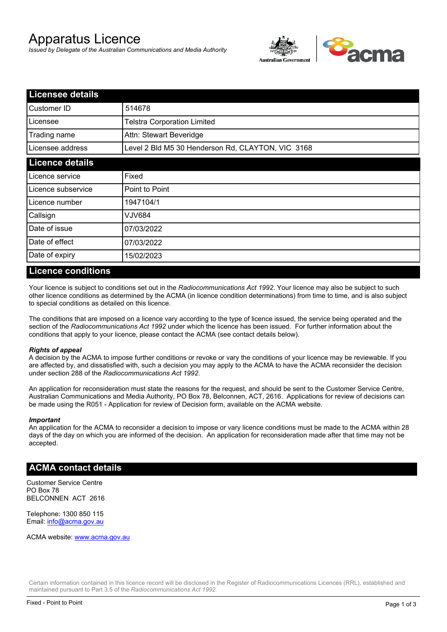# Apparatus Licence

*Issued by Delegate of the Australian Communications and Media Authority*



| <b>Licensee details</b> |                                                   |  |  |
|-------------------------|---------------------------------------------------|--|--|
| Customer ID             | 514678                                            |  |  |
| Licensee                | <b>Telstra Corporation Limited</b>                |  |  |
| Trading name            | Attn: Stewart Beveridge                           |  |  |
| Licensee address        | Level 2 Bld M5 30 Henderson Rd, CLAYTON, VIC 3168 |  |  |
| <b>Licence details</b>  |                                                   |  |  |
| Licence service         | Fixed                                             |  |  |
| Licence subservice      | Point to Point                                    |  |  |
| Licence number          | 1947104/1                                         |  |  |
| Callsign                | VJV684                                            |  |  |
| Date of issue           | 07/03/2022                                        |  |  |
| Date of effect          | 07/03/2022                                        |  |  |
| Date of expiry          | 15/02/2023                                        |  |  |

#### **Licence conditions**

Your licence is subject to conditions set out in the *Radiocommunications Act 1992*. Your licence may also be subject to such other licence conditions as determined by the ACMA (in licence condition determinations) from time to time, and is also subject to special conditions as detailed on this licence.

The conditions that are imposed on a licence vary according to the type of licence issued, the service being operated and the section of the *Radiocommunications Act 1992* under which the licence has been issued. For further information about the conditions that apply to your licence, please contact the ACMA (see contact details below).

#### *Rights of appeal*

A decision by the ACMA to impose further conditions or revoke or vary the conditions of your licence may be reviewable. If you are affected by, and dissatisfied with, such a decision you may apply to the ACMA to have the ACMA reconsider the decision under section 288 of the *Radiocommunications Act 1992*.

An application for reconsideration must state the reasons for the request, and should be sent to the Customer Service Centre, Australian Communications and Media Authority, PO Box 78, Belconnen, ACT, 2616. Applications for review of decisions can be made using the R051 - Application for review of Decision form, available on the ACMA website.

#### *Important*

An application for the ACMA to reconsider a decision to impose or vary licence conditions must be made to the ACMA within 28 days of the day on which you are informed of the decision. An application for reconsideration made after that time may not be accepted.

#### **ACMA contact details**

Customer Service Centre PO Box 78 BELCONNEN ACT 2616

Telephone: 1300 850 115 Email: info@acma.gov.au

ACMA website: www.acma.gov.au

Certain information contained in this licence record will be disclosed in the Register of Radiocommunications Licences (RRL), established and maintained pursuant to Part 3.5 of the *Radiocommunications Act 1992.*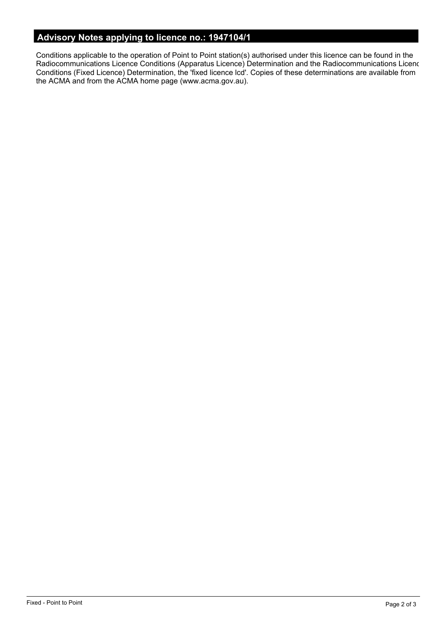# **Advisory Notes applying to licence no.: 1947104/1**

Conditions applicable to the operation of Point to Point station(s) authorised under this licence can be found in the Radiocommunications Licence Conditions (Apparatus Licence) Determination and the Radiocommunications Licence Conditions (Fixed Licence) Determination, the 'fixed licence lcd'. Copies of these determinations are available from the ACMA and from the ACMA home page (www.acma.gov.au).